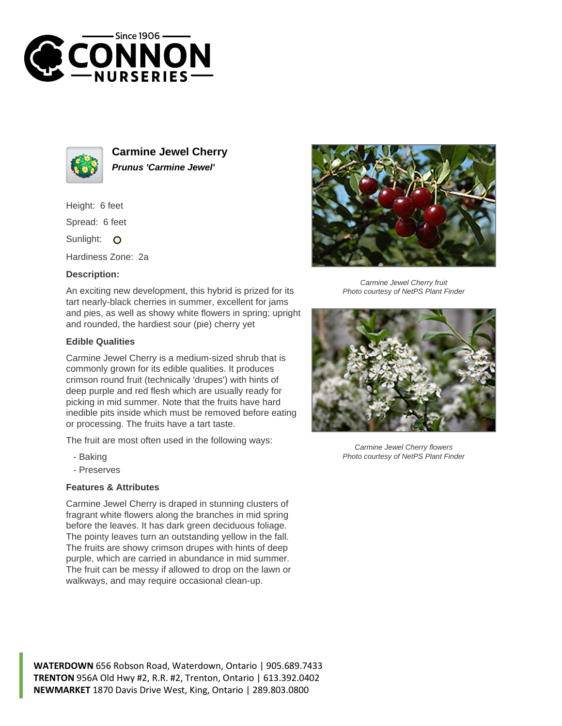



**Carmine Jewel Cherry Prunus 'Carmine Jewel'**

Height: 6 feet

Spread: 6 feet

Sunlight: O

Hardiness Zone: 2a

## **Description:**

An exciting new development, this hybrid is prized for its tart nearly-black cherries in summer, excellent for jams and pies, as well as showy white flowers in spring; upright and rounded, the hardiest sour (pie) cherry yet

## **Edible Qualities**

Carmine Jewel Cherry is a medium-sized shrub that is commonly grown for its edible qualities. It produces crimson round fruit (technically 'drupes') with hints of deep purple and red flesh which are usually ready for picking in mid summer. Note that the fruits have hard inedible pits inside which must be removed before eating or processing. The fruits have a tart taste.

The fruit are most often used in the following ways:

- Baking
- Preserves

## **Features & Attributes**

Carmine Jewel Cherry is draped in stunning clusters of fragrant white flowers along the branches in mid spring before the leaves. It has dark green deciduous foliage. The pointy leaves turn an outstanding yellow in the fall. The fruits are showy crimson drupes with hints of deep purple, which are carried in abundance in mid summer. The fruit can be messy if allowed to drop on the lawn or walkways, and may require occasional clean-up.



Carmine Jewel Cherry fruit Photo courtesy of NetPS Plant Finder



Carmine Jewel Cherry flowers Photo courtesy of NetPS Plant Finder

**WATERDOWN** 656 Robson Road, Waterdown, Ontario | 905.689.7433 **TRENTON** 956A Old Hwy #2, R.R. #2, Trenton, Ontario | 613.392.0402 **NEWMARKET** 1870 Davis Drive West, King, Ontario | 289.803.0800